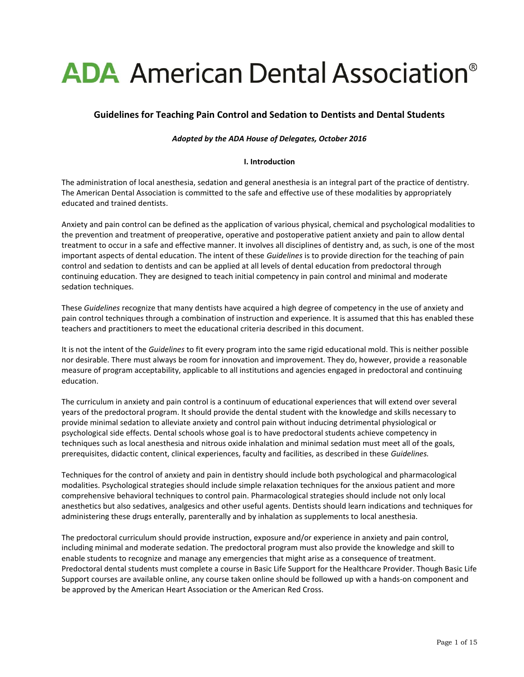# **ADA** American Dental Association<sup>®</sup>

# **Guidelines for Teaching Pain Control and Sedation to Dentists and Dental Students**

# *Adopted by the ADA House of Delegates, October 2016*

# **I. Introduction**

The administration of local anesthesia, sedation and general anesthesia is an integral part of the practice of dentistry. The American Dental Association is committed to the safe and effective use of these modalities by appropriately educated and trained dentists.

Anxiety and pain control can be defined as the application of various physical, chemical and psychological modalities to the prevention and treatment of preoperative, operative and postoperative patient anxiety and pain to allow dental treatment to occur in a safe and effective manner. It involves all disciplines of dentistry and, as such, is one of the most important aspects of dental education. The intent of these *Guidelines* is to provide direction for the teaching of pain control and sedation to dentists and can be applied at all levels of dental education from predoctoral through continuing education. They are designed to teach initial competency in pain control and minimal and moderate sedation techniques.

These *Guidelines* recognize that many dentists have acquired a high degree of competency in the use of anxiety and pain control techniques through a combination of instruction and experience. It is assumed that this has enabled these teachers and practitioners to meet the educational criteria described in this document.

It is not the intent of the *Guidelines* to fit every program into the same rigid educational mold. This is neither possible nor desirable. There must always be room for innovation and improvement. They do, however, provide a reasonable measure of program acceptability, applicable to all institutions and agencies engaged in predoctoral and continuing education.

The curriculum in anxiety and pain control is a continuum of educational experiences that will extend over several years of the predoctoral program. It should provide the dental student with the knowledge and skills necessary to provide minimal sedation to alleviate anxiety and control pain without inducing detrimental physiological or psychological side effects. Dental schools whose goal is to have predoctoral students achieve competency in techniques such as local anesthesia and nitrous oxide inhalation and minimal sedation must meet all of the goals, prerequisites, didactic content, clinical experiences, faculty and facilities, as described in these *Guidelines.*

Techniques for the control of anxiety and pain in dentistry should include both psychological and pharmacological modalities. Psychological strategies should include simple relaxation techniques for the anxious patient and more comprehensive behavioral techniques to control pain. Pharmacological strategies should include not only local anesthetics but also sedatives, analgesics and other useful agents. Dentists should learn indications and techniques for administering these drugs enterally, parenterally and by inhalation as supplements to local anesthesia.

The predoctoral curriculum should provide instruction, exposure and/or experience in anxiety and pain control, including minimal and moderate sedation. The predoctoral program must also provide the knowledge and skill to enable students to recognize and manage any emergencies that might arise as a consequence of treatment. Predoctoral dental students must complete a course in Basic Life Support for the Healthcare Provider. Though Basic Life Support courses are available online, any course taken online should be followed up with a hands-on component and be approved by the American Heart Association or the American Red Cross.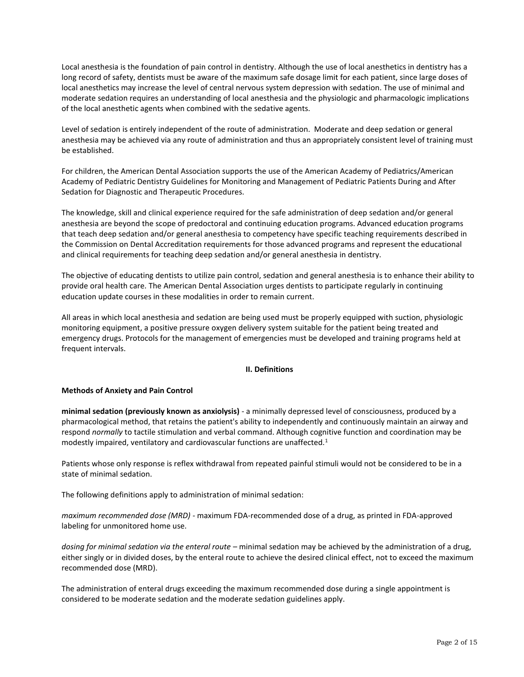Local anesthesia is the foundation of pain control in dentistry. Although the use of local anesthetics in dentistry has a long record of safety, dentists must be aware of the maximum safe dosage limit for each patient, since large doses of local anesthetics may increase the level of central nervous system depression with sedation. The use of minimal and moderate sedation requires an understanding of local anesthesia and the physiologic and pharmacologic implications of the local anesthetic agents when combined with the sedative agents.

Level of sedation is entirely independent of the route of administration. Moderate and deep sedation or general anesthesia may be achieved via any route of administration and thus an appropriately consistent level of training must be established.

For children, the American Dental Association supports the use of the American Academy of Pediatrics/American Academy of Pediatric Dentistry Guidelines for Monitoring and Management of Pediatric Patients During and After Sedation for Diagnostic and Therapeutic Procedures.

The knowledge, skill and clinical experience required for the safe administration of deep sedation and/or general anesthesia are beyond the scope of predoctoral and continuing education programs. Advanced education programs that teach deep sedation and/or general anesthesia to competency have specific teaching requirements described in the Commission on Dental Accreditation requirements for those advanced programs and represent the educational and clinical requirements for teaching deep sedation and/or general anesthesia in dentistry.

The objective of educating dentists to utilize pain control, sedation and general anesthesia is to enhance their ability to provide oral health care. The American Dental Association urges dentists to participate regularly in continuing education update courses in these modalities in order to remain current.

All areas in which local anesthesia and sedation are being used must be properly equipped with suction, physiologic monitoring equipment, a positive pressure oxygen delivery system suitable for the patient being treated and emergency drugs. Protocols for the management of emergencies must be developed and training programs held at frequent intervals.

#### **II. Definitions**

# **Methods of Anxiety and Pain Control**

**minimal sedation (previously known as anxiolysis)** *-* a minimally depressed level of consciousness, produced by a pharmacological method, that retains the patient's ability to independently and continuously maintain an airway and respond *normally* to tactile stimulation and verbal command. Although cognitive function and coordination may be modestly impaired, ventilatory and cardiovascular functions are unaffected.<sup>1</sup>

Patients whose only response is reflex withdrawal from repeated painful stimuli would not be considered to be in a state of minimal sedation.

The following definitions apply to administration of minimal sedation:

*maximum recommended dose (MRD) -* maximum FDA-recommended dose of a drug, as printed in FDA-approved labeling for unmonitored home use.

*dosing for minimal sedation via the enteral route* – minimal sedation may be achieved by the administration of a drug, either singly or in divided doses, by the enteral route to achieve the desired clinical effect, not to exceed the maximum recommended dose (MRD).

The administration of enteral drugs exceeding the maximum recommended dose during a single appointment is considered to be moderate sedation and the moderate sedation guidelines apply.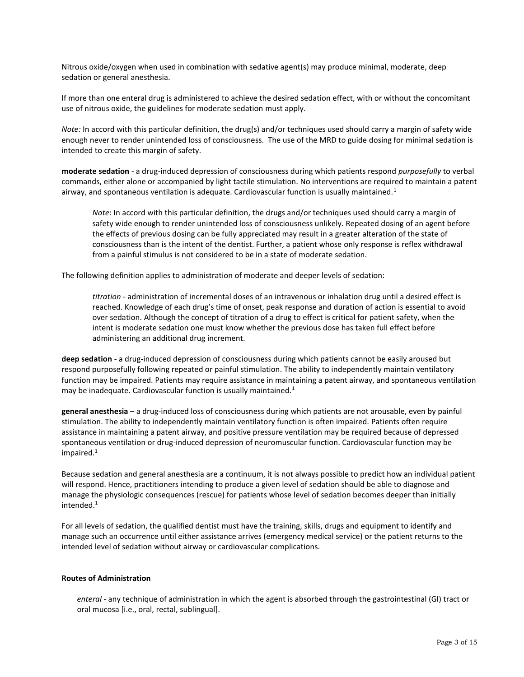Nitrous oxide/oxygen when used in combination with sedative agent(s) may produce minimal, moderate, deep sedation or general anesthesia.

If more than one enteral drug is administered to achieve the desired sedation effect, with or without the concomitant use of nitrous oxide, the guidelines for moderate sedation must apply.

*Note:* In accord with this particular definition, the drug(s) and/or techniques used should carry a margin of safety wide enough never to render unintended loss of consciousness. The use of the MRD to guide dosing for minimal sedation is intended to create this margin of safety.

**moderate sedation** *-* a drug-induced depression of consciousness during which patients respond *purposefully* to verbal commands, either alone or accompanied by light tactile stimulation. No interventions are required to maintain a patent airway, and spontaneous ventilation is adequate. Cardiovascular function is usually maintained.<sup>1</sup>

*Note*: In accord with this particular definition, the drugs and/or techniques used should carry a margin of safety wide enough to render unintended loss of consciousness unlikely. Repeated dosing of an agent before the effects of previous dosing can be fully appreciated may result in a greater alteration of the state of consciousness than is the intent of the dentist. Further, a patient whose only response is reflex withdrawal from a painful stimulus is not considered to be in a state of moderate sedation.

The following definition applies to administration of moderate and deeper levels of sedation:

*titration* - administration of incremental doses of an intravenous or inhalation drug until a desired effect is reached. Knowledge of each drug's time of onset, peak response and duration of action is essential to avoid over sedation. Although the concept of titration of a drug to effect is critical for patient safety, when the intent is moderate sedation one must know whether the previous dose has taken full effect before administering an additional drug increment.

**deep sedation** - a drug-induced depression of consciousness during which patients cannot be easily aroused but respond purposefully following repeated or painful stimulation. The ability to independently maintain ventilatory function may be impaired. Patients may require assistance in maintaining a patent airway, and spontaneous ventilation may be inadequate. Cardiovascular function is usually maintained.<sup>1</sup>

**general anesthesia** – a drug-induced loss of consciousness during which patients are not arousable, even by painful stimulation. The ability to independently maintain ventilatory function is often impaired. Patients often require assistance in maintaining a patent airway, and positive pressure ventilation may be required because of depressed spontaneous ventilation or drug-induced depression of neuromuscular function. Cardiovascular function may be impaired.<sup>1</sup>

Because sedation and general anesthesia are a continuum, it is not always possible to predict how an individual patient will respond. Hence, practitioners intending to produce a given level of sedation should be able to diagnose and manage the physiologic consequences (rescue) for patients whose level of sedation becomes deeper than initially intended.<sup>1</sup>

For all levels of sedation, the qualified dentist must have the training, skills, drugs and equipment to identify and manage such an occurrence until either assistance arrives (emergency medical service) or the patient returns to the intended level of sedation without airway or cardiovascular complications.

# **Routes of Administration**

*enteral* - any technique of administration in which the agent is absorbed through the gastrointestinal (GI) tract or oral mucosa [i.e., oral, rectal, sublingual].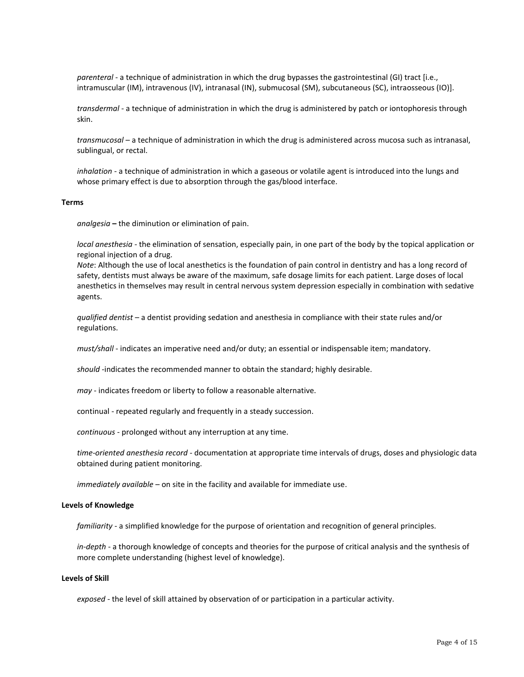*parenteral* - a technique of administration in which the drug bypasses the gastrointestinal (GI) tract [i.e., intramuscular (IM), intravenous (IV), intranasal (IN), submucosal (SM), subcutaneous (SC), intraosseous (IO)].

*transdermal -* a technique of administration in which the drug is administered by patch or iontophoresis through skin.

*transmucosal* – a technique of administration in which the drug is administered across mucosa such as intranasal, sublingual, or rectal.

*inhalation* - a technique of administration in which a gaseous or volatile agent is introduced into the lungs and whose primary effect is due to absorption through the gas/blood interface.

#### **Terms**

*analgesia* **–** the diminution or elimination of pain.

*local anesthesia* - the elimination of sensation, especially pain, in one part of the body by the topical application or regional injection of a drug.

*Note*: Although the use of local anesthetics is the foundation of pain control in dentistry and has a long record of safety, dentists must always be aware of the maximum, safe dosage limits for each patient. Large doses of local anesthetics in themselves may result in central nervous system depression especially in combination with sedative agents.

*qualified dentist* – a dentist providing sedation and anesthesia in compliance with their state rules and/or regulations.

*must/shall* - indicates an imperative need and/or duty; an essential or indispensable item; mandatory.

*should* -indicates the recommended manner to obtain the standard; highly desirable.

*may* - indicates freedom or liberty to follow a reasonable alternative.

continual - repeated regularly and frequently in a steady succession.

*continuous* - prolonged without any interruption at any time.

*time-oriented anesthesia record* - documentation at appropriate time intervals of drugs, doses and physiologic data obtained during patient monitoring.

*immediately available* – on site in the facility and available for immediate use.

#### **Levels of Knowledge**

*familiarity* - a simplified knowledge for the purpose of orientation and recognition of general principles.

*in-depth* - a thorough knowledge of concepts and theories for the purpose of critical analysis and the synthesis of more complete understanding (highest level of knowledge).

# **Levels of Skill**

*exposed* - the level of skill attained by observation of or participation in a particular activity.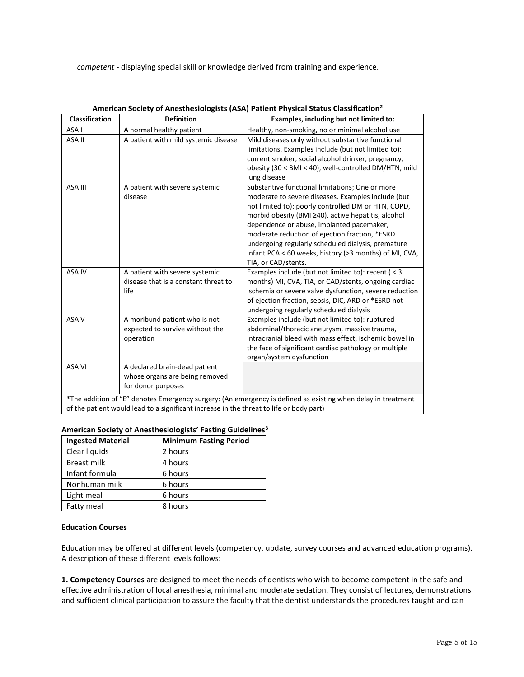*competent* - displaying special skill or knowledge derived from training and experience.

| <b>Classification</b>                                                                                                                                                                                   | <b>Definition</b>                                                                     | Examples, including but not limited to:                                                                                                                                                                                                                                                                                                                                                                                                                   |  |
|---------------------------------------------------------------------------------------------------------------------------------------------------------------------------------------------------------|---------------------------------------------------------------------------------------|-----------------------------------------------------------------------------------------------------------------------------------------------------------------------------------------------------------------------------------------------------------------------------------------------------------------------------------------------------------------------------------------------------------------------------------------------------------|--|
| ASA I                                                                                                                                                                                                   | A normal healthy patient                                                              | Healthy, non-smoking, no or minimal alcohol use                                                                                                                                                                                                                                                                                                                                                                                                           |  |
| ASA II                                                                                                                                                                                                  | A patient with mild systemic disease                                                  | Mild diseases only without substantive functional<br>limitations. Examples include (but not limited to):<br>current smoker, social alcohol drinker, pregnancy,<br>obesity (30 < BMI < 40), well-controlled DM/HTN, mild<br>lung disease                                                                                                                                                                                                                   |  |
| ASA III                                                                                                                                                                                                 | A patient with severe systemic<br>disease                                             | Substantive functional limitations; One or more<br>moderate to severe diseases. Examples include (but<br>not limited to): poorly controlled DM or HTN, COPD,<br>morbid obesity (BMI ≥40), active hepatitis, alcohol<br>dependence or abuse, implanted pacemaker,<br>moderate reduction of ejection fraction, *ESRD<br>undergoing regularly scheduled dialysis, premature<br>infant PCA < 60 weeks, history (>3 months) of MI, CVA,<br>TIA, or CAD/stents. |  |
| <b>ASA IV</b>                                                                                                                                                                                           | A patient with severe systemic<br>disease that is a constant threat to<br>life        | Examples include (but not limited to): recent (<3<br>months) MI, CVA, TIA, or CAD/stents, ongoing cardiac<br>ischemia or severe valve dysfunction, severe reduction<br>of ejection fraction, sepsis, DIC, ARD or *ESRD not<br>undergoing regularly scheduled dialysis                                                                                                                                                                                     |  |
| ASA V                                                                                                                                                                                                   | A moribund patient who is not<br>expected to survive without the<br>operation         | Examples include (but not limited to): ruptured<br>abdominal/thoracic aneurysm, massive trauma,<br>intracranial bleed with mass effect, ischemic bowel in<br>the face of significant cardiac pathology or multiple<br>organ/system dysfunction                                                                                                                                                                                                            |  |
| <b>ASA VI</b>                                                                                                                                                                                           | A declared brain-dead patient<br>whose organs are being removed<br>for donor purposes |                                                                                                                                                                                                                                                                                                                                                                                                                                                           |  |
| *The addition of "E" denotes Emergency surgery: (An emergency is defined as existing when delay in treatment<br>of the patient would lead to a significant increase in the threat to life or body part) |                                                                                       |                                                                                                                                                                                                                                                                                                                                                                                                                                                           |  |

| American Society of Anesthesiologists (ASA) Patient Physical Status Classification <sup>2</sup> |  |  |
|-------------------------------------------------------------------------------------------------|--|--|
|-------------------------------------------------------------------------------------------------|--|--|

# **American Society of Anesthesiologists' Fasting Guidelines<sup>3</sup>**

| <b>Ingested Material</b> | <b>Minimum Fasting Period</b> |
|--------------------------|-------------------------------|
| Clear liquids            | 2 hours                       |
| <b>Breast milk</b>       | 4 hours                       |
| Infant formula           | 6 hours                       |
| Nonhuman milk            | 6 hours                       |
| Light meal               | 6 hours                       |
| Fatty meal               | 8 hours                       |

# **Education Courses**

Education may be offered at different levels (competency, update, survey courses and advanced education programs). A description of these different levels follows:

**1. Competency Courses** are designed to meet the needs of dentists who wish to become competent in the safe and effective administration of local anesthesia, minimal and moderate sedation. They consist of lectures, demonstrations and sufficient clinical participation to assure the faculty that the dentist understands the procedures taught and can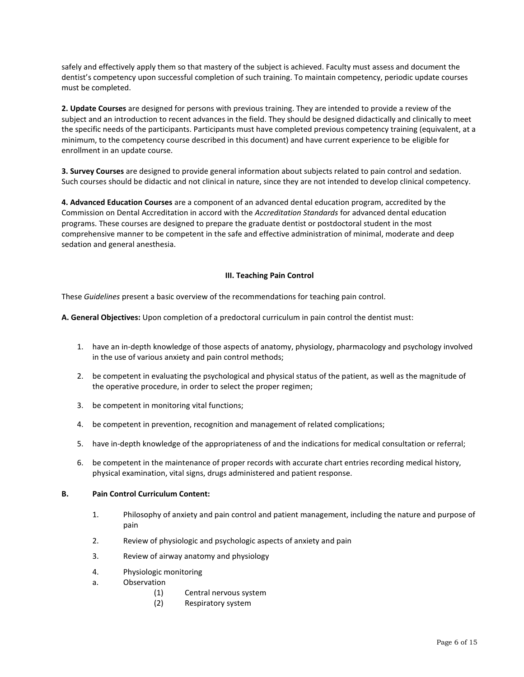safely and effectively apply them so that mastery of the subject is achieved. Faculty must assess and document the dentist's competency upon successful completion of such training. To maintain competency, periodic update courses must be completed.

**2. Update Courses** are designed for persons with previous training. They are intended to provide a review of the subject and an introduction to recent advances in the field. They should be designed didactically and clinically to meet the specific needs of the participants. Participants must have completed previous competency training (equivalent, at a minimum, to the competency course described in this document) and have current experience to be eligible for enrollment in an update course.

**3. Survey Courses** are designed to provide general information about subjects related to pain control and sedation. Such courses should be didactic and not clinical in nature, since they are not intended to develop clinical competency.

**4. Advanced Education Courses** are a component of an advanced dental education program, accredited by the Commission on Dental Accreditation in accord with the *Accreditation Standards* for advanced dental education programs. These courses are designed to prepare the graduate dentist or postdoctoral student in the most comprehensive manner to be competent in the safe and effective administration of minimal, moderate and deep sedation and general anesthesia.

# **III. Teaching Pain Control**

These *Guidelines* present a basic overview of the recommendations for teaching pain control.

**A. General Objectives:** Upon completion of a predoctoral curriculum in pain control the dentist must:

- 1. have an in-depth knowledge of those aspects of anatomy, physiology, pharmacology and psychology involved in the use of various anxiety and pain control methods;
- 2. be competent in evaluating the psychological and physical status of the patient, as well as the magnitude of the operative procedure, in order to select the proper regimen;
- 3. be competent in monitoring vital functions;
- 4. be competent in prevention, recognition and management of related complications;
- 5. have in-depth knowledge of the appropriateness of and the indications for medical consultation or referral;
- 6. be competent in the maintenance of proper records with accurate chart entries recording medical history, physical examination, vital signs, drugs administered and patient response.

#### **B. Pain Control Curriculum Content:**

- 1. Philosophy of anxiety and pain control and patient management, including the nature and purpose of pain
- 2. Review of physiologic and psychologic aspects of anxiety and pain
- 3. Review of airway anatomy and physiology
- 4. Physiologic monitoring
- a. Observation
	- (1) Central nervous system
	- (2) Respiratory system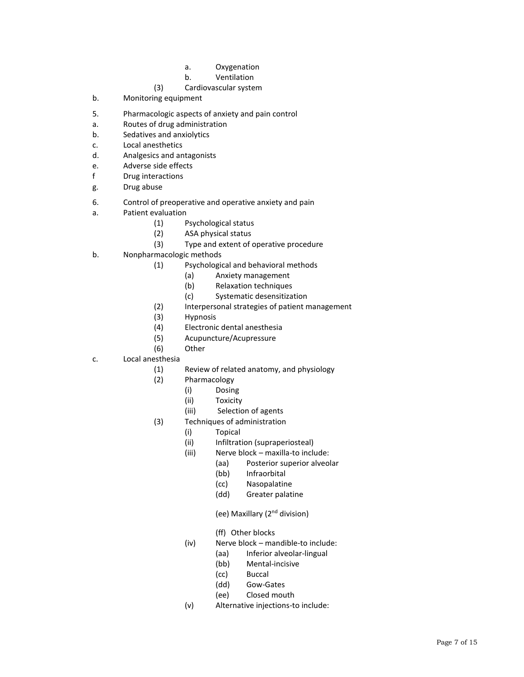- a. Oxygenation
- b. Ventilation
- (3) Cardiovascular system
- b. Monitoring equipment
- 5. Pharmacologic aspects of anxiety and pain control
- a. Routes of drug administration
- b. Sedatives and anxiolytics
- c. Local anesthetics
- d. Analgesics and antagonists
- e. Adverse side effects
- f Drug interactions
- g. Drug abuse
- 6. Control of preoperative and operative anxiety and pain
- a. Patient evaluation
	- (1) Psychological status
	- (2) ASA physical status
	- (3) Type and extent of operative procedure
- b. Nonpharmacologic methods
	- (1) Psychological and behavioral methods
		- (a) Anxiety management
		-
		- (b) Relaxation techniques<br>(c) Systematic desensitiza Systematic desensitization
		- (2) Interpersonal strategies of patient management
		- (3) Hypnosis
		- (4) Electronic dental anesthesia
		- (5) Acupuncture/Acupressure
		- (6) Other
- c. Local anesthesia
	- (1) Review of related anatomy, and physiology
	- (2) Pharmacology
		- (i) Dosing
		- (ii) Toxicity
		- (iii) Selection of agents
	- (3) Techniques of administration
		- (i) Topical
		- (ii) Infiltration (supraperiosteal)
		- (iii) Nerve block maxilla-to include:
			- (aa) Posterior superior alveolar
				- (bb) Infraorbital
				- (cc) Nasopalatine
				- (dd) Greater palatine

(ee) Maxillary (2nd division)

- (ff) Other blocks
- (iv) Nerve block mandible-to include:
	- (aa) Inferior alveolar-lingual
	- (bb) Mental-incisive
	- (cc) Buccal
	- (dd) Gow-Gates
	- (ee) Closed mouth
- (v) Alternative injections-to include: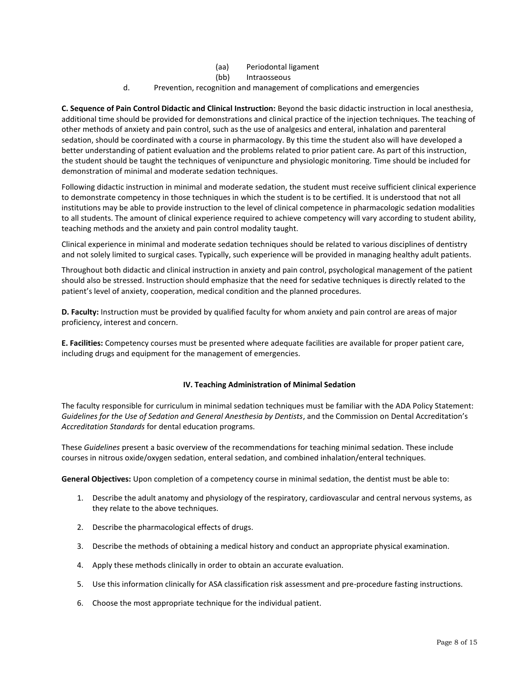- (aa) Periodontal ligament
- (bb) Intraosseous
- d. Prevention, recognition and management of complications and emergencies

**C. Sequence of Pain Control Didactic and Clinical Instruction:** Beyond the basic didactic instruction in local anesthesia, additional time should be provided for demonstrations and clinical practice of the injection techniques. The teaching of other methods of anxiety and pain control, such as the use of analgesics and enteral, inhalation and parenteral sedation, should be coordinated with a course in pharmacology. By this time the student also will have developed a better understanding of patient evaluation and the problems related to prior patient care. As part of this instruction, the student should be taught the techniques of venipuncture and physiologic monitoring. Time should be included for demonstration of minimal and moderate sedation techniques.

Following didactic instruction in minimal and moderate sedation, the student must receive sufficient clinical experience to demonstrate competency in those techniques in which the student is to be certified. It is understood that not all institutions may be able to provide instruction to the level of clinical competence in pharmacologic sedation modalities to all students. The amount of clinical experience required to achieve competency will vary according to student ability, teaching methods and the anxiety and pain control modality taught.

Clinical experience in minimal and moderate sedation techniques should be related to various disciplines of dentistry and not solely limited to surgical cases. Typically, such experience will be provided in managing healthy adult patients.

Throughout both didactic and clinical instruction in anxiety and pain control, psychological management of the patient should also be stressed. Instruction should emphasize that the need for sedative techniques is directly related to the patient's level of anxiety, cooperation, medical condition and the planned procedures.

**D. Faculty:** Instruction must be provided by qualified faculty for whom anxiety and pain control are areas of major proficiency, interest and concern.

**E. Facilities:** Competency courses must be presented where adequate facilities are available for proper patient care, including drugs and equipment for the management of emergencies.

#### **IV. Teaching Administration of Minimal Sedation**

The faculty responsible for curriculum in minimal sedation techniques must be familiar with the ADA Policy Statement: *Guidelines for the Use of Sedation and General Anesthesia by Dentists*, and the Commission on Dental Accreditation's *Accreditation Standards* for dental education programs.

These *Guidelines* present a basic overview of the recommendations for teaching minimal sedation. These include courses in nitrous oxide/oxygen sedation, enteral sedation, and combined inhalation/enteral techniques.

**General Objectives:** Upon completion of a competency course in minimal sedation, the dentist must be able to:

- 1. Describe the adult anatomy and physiology of the respiratory, cardiovascular and central nervous systems, as they relate to the above techniques.
- 2. Describe the pharmacological effects of drugs.
- 3. Describe the methods of obtaining a medical history and conduct an appropriate physical examination.
- 4. Apply these methods clinically in order to obtain an accurate evaluation.
- 5. Use this information clinically for ASA classification risk assessment and pre-procedure fasting instructions.
- 6. Choose the most appropriate technique for the individual patient.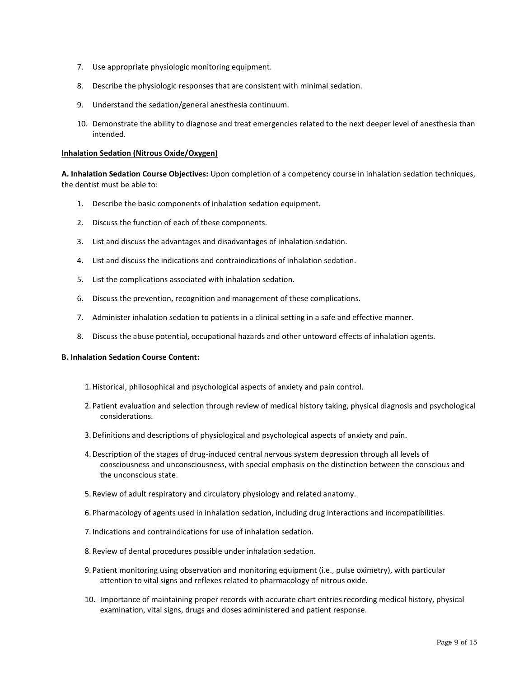- 7. Use appropriate physiologic monitoring equipment.
- 8. Describe the physiologic responses that are consistent with minimal sedation.
- 9. Understand the sedation/general anesthesia continuum.
- 10. Demonstrate the ability to diagnose and treat emergencies related to the next deeper level of anesthesia than intended.

#### **Inhalation Sedation (Nitrous Oxide/Oxygen)**

**A. Inhalation Sedation Course Objectives:** Upon completion of a competency course in inhalation sedation techniques, the dentist must be able to:

- 1. Describe the basic components of inhalation sedation equipment.
- 2. Discuss the function of each of these components.
- 3. List and discuss the advantages and disadvantages of inhalation sedation.
- 4. List and discuss the indications and contraindications of inhalation sedation.
- 5. List the complications associated with inhalation sedation.
- 6. Discuss the prevention, recognition and management of these complications.
- 7. Administer inhalation sedation to patients in a clinical setting in a safe and effective manner.
- 8. Discuss the abuse potential, occupational hazards and other untoward effects of inhalation agents.

#### **B. Inhalation Sedation Course Content:**

- 1.Historical, philosophical and psychological aspects of anxiety and pain control.
- 2. Patient evaluation and selection through review of medical history taking, physical diagnosis and psychological considerations.
- 3.Definitions and descriptions of physiological and psychological aspects of anxiety and pain.
- 4.Description of the stages of drug-induced central nervous system depression through all levels of consciousness and unconsciousness, with special emphasis on the distinction between the conscious and the unconscious state.
- 5. Review of adult respiratory and circulatory physiology and related anatomy.
- 6. Pharmacology of agents used in inhalation sedation, including drug interactions and incompatibilities.
- 7. Indications and contraindications for use of inhalation sedation.
- 8. Review of dental procedures possible under inhalation sedation.
- 9. Patient monitoring using observation and monitoring equipment (i.e., pulse oximetry), with particular attention to vital signs and reflexes related to pharmacology of nitrous oxide.
- 10. Importance of maintaining proper records with accurate chart entries recording medical history, physical examination, vital signs, drugs and doses administered and patient response.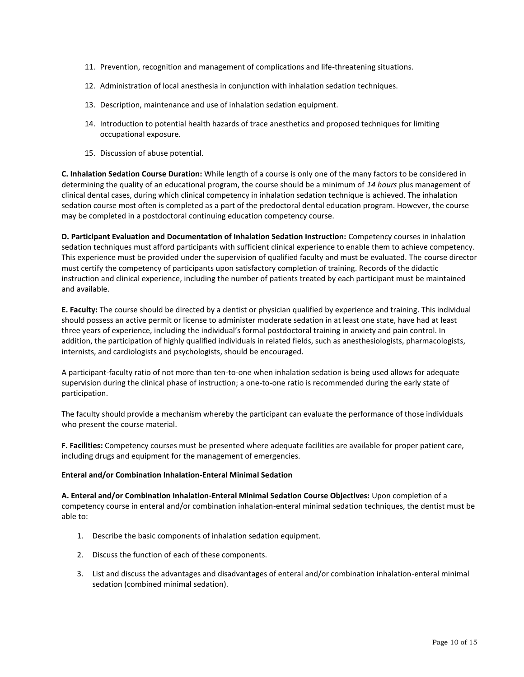- 11. Prevention, recognition and management of complications and life-threatening situations.
- 12. Administration of local anesthesia in conjunction with inhalation sedation techniques.
- 13. Description, maintenance and use of inhalation sedation equipment.
- 14. Introduction to potential health hazards of trace anesthetics and proposed techniques for limiting occupational exposure.
- 15. Discussion of abuse potential.

**C. Inhalation Sedation Course Duration:** While length of a course is only one of the many factors to be considered in determining the quality of an educational program, the course should be a minimum of *14 hours* plus management of clinical dental cases, during which clinical competency in inhalation sedation technique is achieved. The inhalation sedation course most often is completed as a part of the predoctoral dental education program. However, the course may be completed in a postdoctoral continuing education competency course.

**D. Participant Evaluation and Documentation of Inhalation Sedation Instruction:** Competency courses in inhalation sedation techniques must afford participants with sufficient clinical experience to enable them to achieve competency. This experience must be provided under the supervision of qualified faculty and must be evaluated. The course director must certify the competency of participants upon satisfactory completion of training. Records of the didactic instruction and clinical experience, including the number of patients treated by each participant must be maintained and available.

**E. Faculty:** The course should be directed by a dentist or physician qualified by experience and training. This individual should possess an active permit or license to administer moderate sedation in at least one state, have had at least three years of experience, including the individual's formal postdoctoral training in anxiety and pain control. In addition, the participation of highly qualified individuals in related fields, such as anesthesiologists, pharmacologists, internists, and cardiologists and psychologists, should be encouraged.

A participant-faculty ratio of not more than ten-to-one when inhalation sedation is being used allows for adequate supervision during the clinical phase of instruction; a one-to-one ratio is recommended during the early state of participation.

The faculty should provide a mechanism whereby the participant can evaluate the performance of those individuals who present the course material.

**F. Facilities:** Competency courses must be presented where adequate facilities are available for proper patient care, including drugs and equipment for the management of emergencies.

# **Enteral and/or Combination Inhalation-Enteral Minimal Sedation**

**A. Enteral and/or Combination Inhalation-Enteral Minimal Sedation Course Objectives:** Upon completion of a competency course in enteral and/or combination inhalation-enteral minimal sedation techniques, the dentist must be able to:

- 1. Describe the basic components of inhalation sedation equipment.
- 2. Discuss the function of each of these components.
- 3. List and discuss the advantages and disadvantages of enteral and/or combination inhalation-enteral minimal sedation (combined minimal sedation).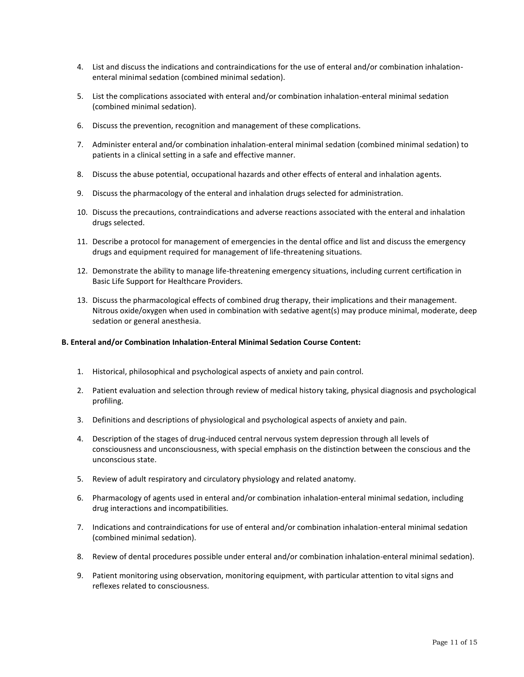- 4. List and discuss the indications and contraindications for the use of enteral and/or combination inhalationenteral minimal sedation (combined minimal sedation).
- 5. List the complications associated with enteral and/or combination inhalation-enteral minimal sedation (combined minimal sedation).
- 6. Discuss the prevention, recognition and management of these complications.
- 7. Administer enteral and/or combination inhalation-enteral minimal sedation (combined minimal sedation) to patients in a clinical setting in a safe and effective manner.
- 8. Discuss the abuse potential, occupational hazards and other effects of enteral and inhalation agents.
- 9. Discuss the pharmacology of the enteral and inhalation drugs selected for administration.
- 10. Discuss the precautions, contraindications and adverse reactions associated with the enteral and inhalation drugs selected.
- 11. Describe a protocol for management of emergencies in the dental office and list and discuss the emergency drugs and equipment required for management of life-threatening situations.
- 12. Demonstrate the ability to manage life-threatening emergency situations, including current certification in Basic Life Support for Healthcare Providers.
- 13. Discuss the pharmacological effects of combined drug therapy, their implications and their management. Nitrous oxide/oxygen when used in combination with sedative agent(s) may produce minimal, moderate, deep sedation or general anesthesia.

#### **B. Enteral and/or Combination Inhalation-Enteral Minimal Sedation Course Content:**

- 1. Historical, philosophical and psychological aspects of anxiety and pain control.
- 2. Patient evaluation and selection through review of medical history taking, physical diagnosis and psychological profiling.
- 3. Definitions and descriptions of physiological and psychological aspects of anxiety and pain.
- 4. Description of the stages of drug-induced central nervous system depression through all levels of consciousness and unconsciousness, with special emphasis on the distinction between the conscious and the unconscious state.
- 5. Review of adult respiratory and circulatory physiology and related anatomy.
- 6. Pharmacology of agents used in enteral and/or combination inhalation-enteral minimal sedation, including drug interactions and incompatibilities.
- 7. Indications and contraindications for use of enteral and/or combination inhalation-enteral minimal sedation (combined minimal sedation).
- 8. Review of dental procedures possible under enteral and/or combination inhalation-enteral minimal sedation).
- 9. Patient monitoring using observation, monitoring equipment, with particular attention to vital signs and reflexes related to consciousness.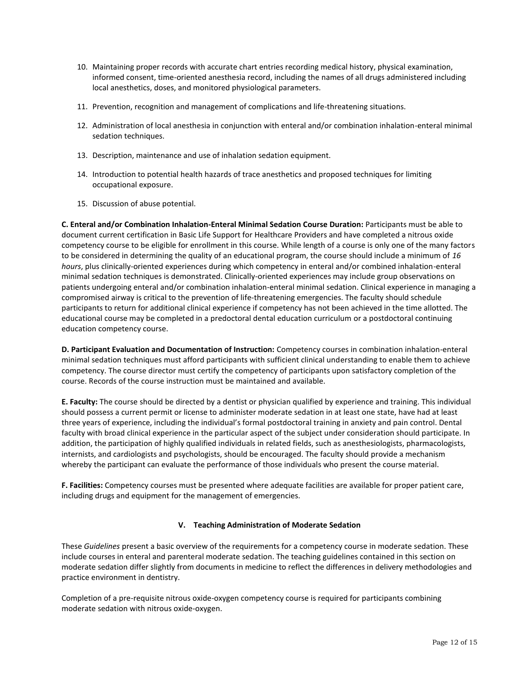- 10. Maintaining proper records with accurate chart entries recording medical history, physical examination, informed consent, time-oriented anesthesia record, including the names of all drugs administered including local anesthetics, doses, and monitored physiological parameters.
- 11. Prevention, recognition and management of complications and life-threatening situations.
- 12. Administration of local anesthesia in conjunction with enteral and/or combination inhalation-enteral minimal sedation techniques.
- 13. Description, maintenance and use of inhalation sedation equipment.
- 14. Introduction to potential health hazards of trace anesthetics and proposed techniques for limiting occupational exposure.
- 15. Discussion of abuse potential.

**C. Enteral and/or Combination Inhalation-Enteral Minimal Sedation Course Duration:** Participants must be able to document current certification in Basic Life Support for Healthcare Providers and have completed a nitrous oxide competency course to be eligible for enrollment in this course. While length of a course is only one of the many factors to be considered in determining the quality of an educational program, the course should include a minimum of *16 hours*, plus clinically-oriented experiences during which competency in enteral and/or combined inhalation-enteral minimal sedation techniques is demonstrated. Clinically-oriented experiences may include group observations on patients undergoing enteral and/or combination inhalation-enteral minimal sedation. Clinical experience in managing a compromised airway is critical to the prevention of life-threatening emergencies. The faculty should schedule participants to return for additional clinical experience if competency has not been achieved in the time allotted. The educational course may be completed in a predoctoral dental education curriculum or a postdoctoral continuing education competency course.

**D. Participant Evaluation and Documentation of Instruction:** Competency courses in combination inhalation-enteral minimal sedation techniques must afford participants with sufficient clinical understanding to enable them to achieve competency. The course director must certify the competency of participants upon satisfactory completion of the course. Records of the course instruction must be maintained and available.

**E. Faculty:** The course should be directed by a dentist or physician qualified by experience and training. This individual should possess a current permit or license to administer moderate sedation in at least one state, have had at least three years of experience, including the individual's formal postdoctoral training in anxiety and pain control. Dental faculty with broad clinical experience in the particular aspect of the subject under consideration should participate. In addition, the participation of highly qualified individuals in related fields, such as anesthesiologists, pharmacologists, internists, and cardiologists and psychologists, should be encouraged. The faculty should provide a mechanism whereby the participant can evaluate the performance of those individuals who present the course material.

**F. Facilities:** Competency courses must be presented where adequate facilities are available for proper patient care, including drugs and equipment for the management of emergencies.

# **V. Teaching Administration of Moderate Sedation**

These *Guidelines* present a basic overview of the requirements for a competency course in moderate sedation. These include courses in enteral and parenteral moderate sedation. The teaching guidelines contained in this section on moderate sedation differ slightly from documents in medicine to reflect the differences in delivery methodologies and practice environment in dentistry.

Completion of a pre-requisite nitrous oxide-oxygen competency course is required for participants combining moderate sedation with nitrous oxide-oxygen.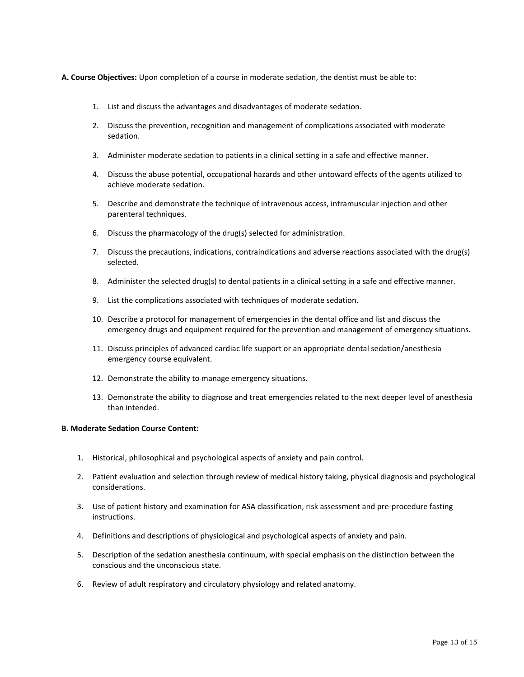**A. Course Objectives:** Upon completion of a course in moderate sedation, the dentist must be able to:

- 1. List and discuss the advantages and disadvantages of moderate sedation.
- 2. Discuss the prevention, recognition and management of complications associated with moderate sedation.
- 3. Administer moderate sedation to patients in a clinical setting in a safe and effective manner.
- 4. Discuss the abuse potential, occupational hazards and other untoward effects of the agents utilized to achieve moderate sedation.
- 5. Describe and demonstrate the technique of intravenous access, intramuscular injection and other parenteral techniques.
- 6. Discuss the pharmacology of the drug(s) selected for administration.
- 7. Discuss the precautions, indications, contraindications and adverse reactions associated with the drug(s) selected.
- 8. Administer the selected drug(s) to dental patients in a clinical setting in a safe and effective manner.
- 9. List the complications associated with techniques of moderate sedation.
- 10. Describe a protocol for management of emergencies in the dental office and list and discuss the emergency drugs and equipment required for the prevention and management of emergency situations.
- 11. Discuss principles of advanced cardiac life support or an appropriate dental sedation/anesthesia emergency course equivalent.
- 12. Demonstrate the ability to manage emergency situations.
- 13. Demonstrate the ability to diagnose and treat emergencies related to the next deeper level of anesthesia than intended.

# **B. Moderate Sedation Course Content:**

- 1. Historical, philosophical and psychological aspects of anxiety and pain control.
- 2. Patient evaluation and selection through review of medical history taking, physical diagnosis and psychological considerations.
- 3. Use of patient history and examination for ASA classification, risk assessment and pre-procedure fasting instructions.
- 4. Definitions and descriptions of physiological and psychological aspects of anxiety and pain.
- 5. Description of the sedation anesthesia continuum, with special emphasis on the distinction between the conscious and the unconscious state.
- 6. Review of adult respiratory and circulatory physiology and related anatomy.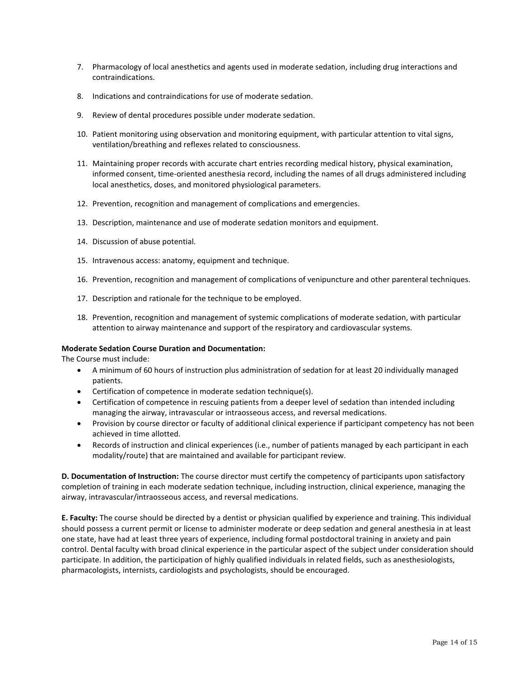- 7. Pharmacology of local anesthetics and agents used in moderate sedation, including drug interactions and contraindications.
- 8. Indications and contraindications for use of moderate sedation.
- 9. Review of dental procedures possible under moderate sedation.
- 10. Patient monitoring using observation and monitoring equipment, with particular attention to vital signs, ventilation/breathing and reflexes related to consciousness.
- 11. Maintaining proper records with accurate chart entries recording medical history, physical examination, informed consent, time-oriented anesthesia record, including the names of all drugs administered including local anesthetics, doses, and monitored physiological parameters.
- 12. Prevention, recognition and management of complications and emergencies.
- 13. Description, maintenance and use of moderate sedation monitors and equipment.
- 14. Discussion of abuse potential.
- 15. Intravenous access: anatomy, equipment and technique.
- 16. Prevention, recognition and management of complications of venipuncture and other parenteral techniques.
- 17. Description and rationale for the technique to be employed.
- 18. Prevention, recognition and management of systemic complications of moderate sedation, with particular attention to airway maintenance and support of the respiratory and cardiovascular systems.

#### **Moderate Sedation Course Duration and Documentation:**

The Course must include:

- A minimum of 60 hours of instruction plus administration of sedation for at least 20 individually managed patients.
- Certification of competence in moderate sedation technique(s).
- Certification of competence in rescuing patients from a deeper level of sedation than intended including managing the airway, intravascular or intraosseous access, and reversal medications.
- Provision by course director or faculty of additional clinical experience if participant competency has not been achieved in time allotted.
- Records of instruction and clinical experiences (i.e., number of patients managed by each participant in each modality/route) that are maintained and available for participant review.

**D. Documentation of Instruction:** The course director must certify the competency of participants upon satisfactory completion of training in each moderate sedation technique, including instruction, clinical experience, managing the airway, intravascular/intraosseous access, and reversal medications.

**E. Faculty:** The course should be directed by a dentist or physician qualified by experience and training. This individual should possess a current permit or license to administer moderate or deep sedation and general anesthesia in at least one state, have had at least three years of experience, including formal postdoctoral training in anxiety and pain control. Dental faculty with broad clinical experience in the particular aspect of the subject under consideration should participate. In addition, the participation of highly qualified individuals in related fields, such as anesthesiologists, pharmacologists, internists, cardiologists and psychologists, should be encouraged.